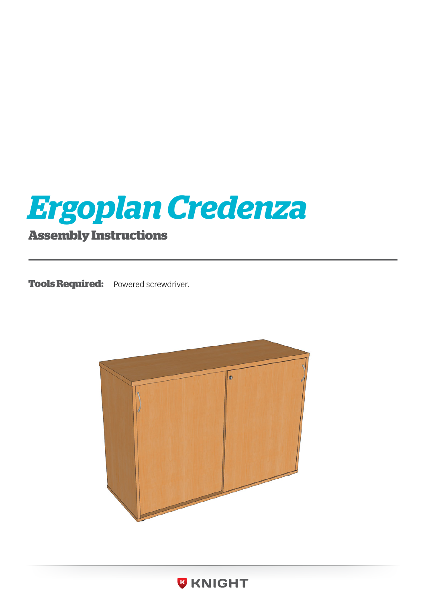

**Tools Required:** Powered screwdriver.



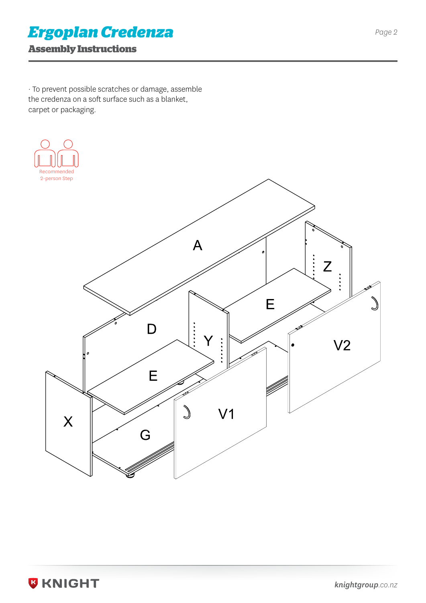### *Ergoplan Credenza*

#### **Assembly Instructions**

· To prevent possible scratches or damage, assemble the credenza on a soft surface such as a blanket, carpet or packaging.



**W KNIGHT**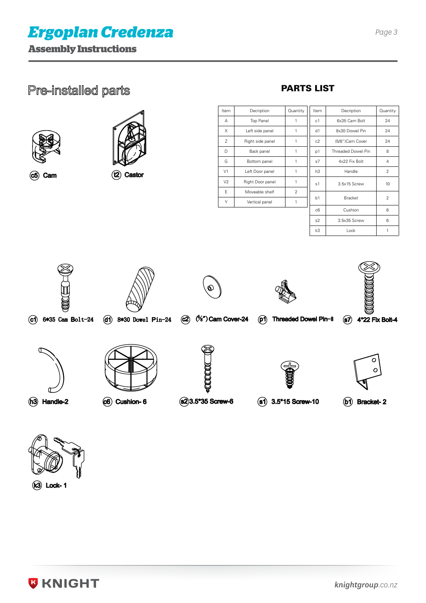





 $( c5)$  Cam

 $(12)$  Castor

PARTS LIST

Item Decription A Top Panel  $X \parallel$  Left side panel z | Right side panel D Back panel G Bottom panel V1 Left Door panel V<sub>2</sub> Right Door panel E Moveable shelf Y **Vertical panel** 

| Quantity       | Item           | Decription         | Quantity       |
|----------------|----------------|--------------------|----------------|
| 1              | c <sub>1</sub> | 6x35 Cam Bolt      | 24             |
| 1              | d1             | 8x30 Dowel Pin     | 24             |
| 1              | c2             | (5/8")Cam Cover    | 24             |
| 1              | p1             | Threaded Dowel Pin | 8              |
| 1              | s7             | 4x22 Fix Bolt      | 4              |
| 1              | h3             | Handle             | $\overline{2}$ |
| 1              | s1             | 3.5x15 Screw       | 10             |
| $\overline{2}$ | b1             | <b>Bracket</b>     | 2              |
| 1              |                |                    |                |
|                | c6             | Cushion            | 6              |
|                | s2             | 3.5x35 Screw       | 6              |
|                | k3             | Lock               | 1              |



 $C1$  6\*35 Cam Bolt-24



 $(d)$  8\*30 Dowel Pin-24

 $(2)$   $($ %") Cam Cover-24



(p1) Threaded Dowel Pin-8



87 4\*22 Fix Bolt-4

 $\sigma$ 

(h3) Handle-2





 $(82)3.5*35$  Screw-6



 $($ 81 $)$  3.5\*15 Screw-10



(b1) Bracket-2



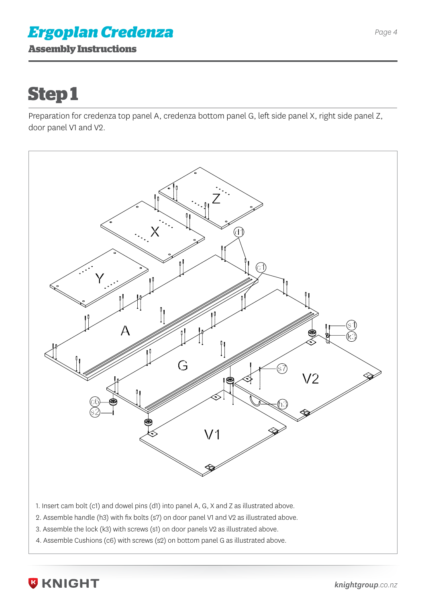### **Assembly Instructions** *Ergoplan Credenza*

# **Step 1**

Preparation for credenza top panel A, credenza bottom panel G, left side panel X, right side panel Z, door panel V1 and V2.



1. Insert cam bolt (c1) and dowel pins (d1) into panel A, G, X and Z as illustrated above.

- 2. Assemble handle (h3) with fix bolts (s7) on door panel V1 and V2 as illustrated above.
- 3. Assemble the lock (k3) with screws (s1) on door panels V2 as illustrated above.
- 4. Assemble Cushions (c6) with screws (s2) on bottom panel G as illustrated above.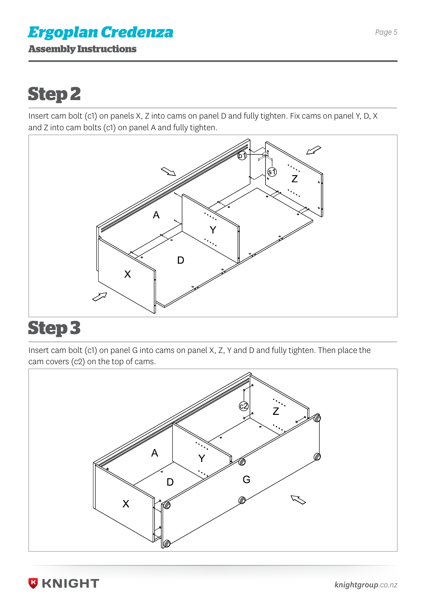### **Assembly Instructions** *Ergoplan Credenza*

# **Step 2**

Insert cam bolt (c1) on panels X, Z into cams on panel D and fully tighten. Fix cams on panel Y, D, X and Z into cam bolts (c1) on panel A and fully tighten.



### **Step 3**

Insert cam bolt (c1) on panel G into cams on panel X, Z, Y and D and fully tighten. Then place the cam covers (c2) on the top of cams.



**B KNIGHT**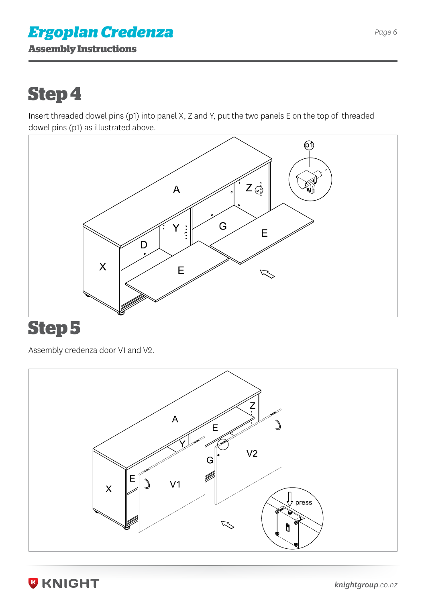### **Assembly Instructions** *Ergoplan Credenza*

## **Step 4**

Insert threaded dowel pins (p1) into panel X, Z and Y, put the two panels E on the top of threaded dowel pins (p1) as illustrated above.



### **Step 5**

Assembly credenza door V1 and V2.